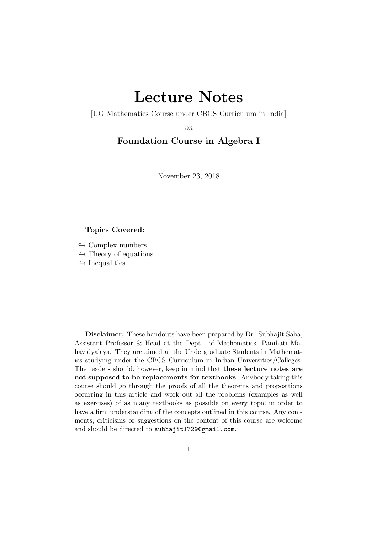# Lecture Notes

[UG Mathematics Course under CBCS Curriculum in India]

on

## Foundation Course in Algebra I

November 23, 2018

## Topics Covered:

 $\leftrightarrow$  Complex numbers  $\leftrightarrow$  Theory of equations  $\leftrightarrow$  Inequalities

Disclaimer: These handouts have been prepared by Dr. Subhajit Saha, Assistant Professor & Head at the Dept. of Mathematics, Panihati Mahavidyalaya. They are aimed at the Undergraduate Students in Mathematics studying under the CBCS Curriculum in Indian Universities/Colleges. The readers should, however, keep in mind that these lecture notes are not supposed to be replacements for textbooks. Anybody taking this course should go through the proofs of all the theorems and propositions occurring in this article and work out all the problems (examples as well as exercises) of as many textbooks as possible on every topic in order to have a firm understanding of the concepts outlined in this course. Any comments, criticisms or suggestions on the content of this course are welcome and should be directed to subhajit1729@gmail.com.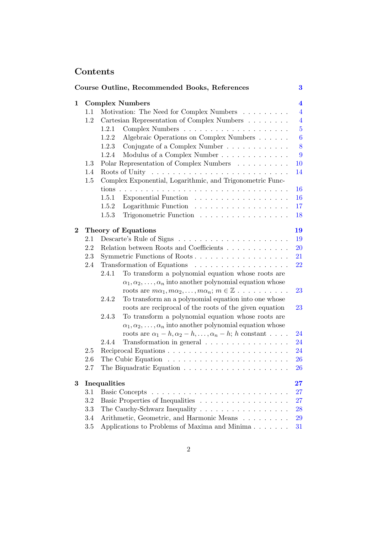## <span id="page-1-0"></span>Contents

|          |              | Course Outline, Recommended Books, References                                 | 3                       |
|----------|--------------|-------------------------------------------------------------------------------|-------------------------|
| 1        |              | <b>Complex Numbers</b>                                                        | $\overline{\mathbf{4}}$ |
|          | 1.1          | Motivation: The Need for Complex Numbers                                      | $\overline{4}$          |
|          | 1.2          | Cartesian Representation of Complex Numbers                                   | $\overline{4}$          |
|          |              | 1.2.1                                                                         | $\overline{5}$          |
|          |              | Algebraic Operations on Complex Numbers<br>1.2.2                              | $\boldsymbol{6}$        |
|          |              | Conjugate of a Complex Number<br>1.2.3                                        | 8                       |
|          |              | Modulus of a Complex Number<br>1.2.4                                          | 9                       |
|          | 1.3          | Polar Representation of Complex Numbers                                       | 10                      |
|          | 1.4          |                                                                               | 14                      |
|          | 1.5          | Complex Exponential, Logarithmic, and Trigonometric Func-                     |                         |
|          |              |                                                                               | 16                      |
|          |              | 1.5.1<br>Exponential Function                                                 | 16                      |
|          |              | 1.5.2<br>Logarithmic Function                                                 | 17                      |
|          |              | Trigonometric Function<br>1.5.3                                               | 18                      |
| $\bf{2}$ |              | Theory of Equations                                                           | 19                      |
|          | 2.1          |                                                                               | 19                      |
|          | 2.2          | Relation between Roots and Coefficients                                       | <b>20</b>               |
|          | 2.3          | Symmetric Functions of Roots                                                  | 21                      |
|          | 2.4          | Transformation of Equations                                                   | 22                      |
|          |              | To transform a polynomial equation whose roots are<br>2.4.1                   |                         |
|          |              | $\alpha_1, \alpha_2, \ldots, \alpha_n$ into another polynomial equation whose |                         |
|          |              | roots are $m\alpha_1, m\alpha_2, \ldots, m\alpha_n; m \in \mathbb{Z}$         | 23                      |
|          |              | To transform an a polynomial equation into one whose<br>2.4.2                 |                         |
|          |              | roots are reciprocal of the roots of the given equation                       | 23                      |
|          |              | To transform a polynomial equation whose roots are<br>2.4.3                   |                         |
|          |              | $\alpha_1, \alpha_2, \ldots, \alpha_n$ into another polynomial equation whose |                         |
|          |              | roots are $\alpha_1 - h, \alpha_2 - h, \ldots, \alpha_n - h$ ; h constant     | 24                      |
|          |              | Transformation in general<br>2.4.4                                            | 24                      |
|          | 2.5          |                                                                               | 24                      |
|          | 2.6          | The Cubic Equation $\ldots \ldots \ldots \ldots \ldots \ldots \ldots \ldots$  | 26                      |
|          | 2.7          | The Biquadratic Equation $\ldots \ldots \ldots \ldots \ldots \ldots \ldots$   | 26                      |
| 3        | Inequalities |                                                                               |                         |
|          | $3.1\,$      |                                                                               | $\bf 27$<br>27          |
|          | 3.2          | Basic Properties of Inequalities                                              | $27\,$                  |
|          | 3.3          | The Cauchy-Schwarz Inequality                                                 | 28                      |
|          | 3.4          | Arithmetic, Geometric, and Harmonic Means                                     | 29                      |
|          | 3.5          | Applications to Problems of Maxima and Minima                                 | 31                      |
|          |              |                                                                               |                         |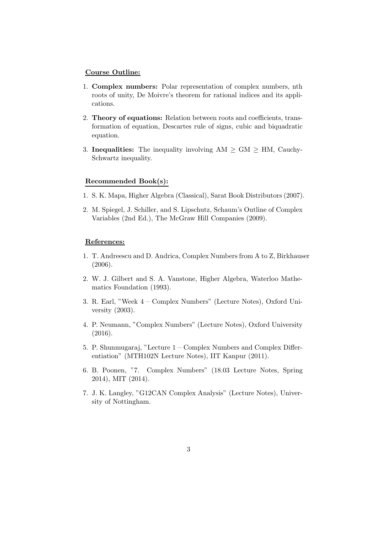#### Course Outline:

- 1. Complex numbers: Polar representation of complex numbers, nth roots of unity, De Moivre's theorem for rational indices and its applications.
- 2. Theory of equations: Relation between roots and coefficients, transformation of equation, Descartes rule of signs, cubic and biquadratic equation.
- 3. Inequalities: The inequality involving  $AM \ge GM \ge HM$ , Cauchy-Schwartz inequality.

#### Recommended Book(s):

- 1. S. K. Mapa, Higher Algebra (Classical), Sarat Book Distributors (2007).
- 2. M. Spiegel, J. Schiller, and S. Lipschutz, Schaum's Outline of Complex Variables (2nd Ed.), The McGraw Hill Companies (2009).

#### References:

- 1. T. Andreescu and D. Andrica, Complex Numbers from A to Z, Birkhauser (2006).
- 2. W. J. Gilbert and S. A. Vanstone, Higher Algebra, Waterloo Mathematics Foundation (1993).
- 3. R. Earl, "Week 4 Complex Numbers" (Lecture Notes), Oxford University (2003).
- 4. P. Neumann, "Complex Numbers" (Lecture Notes), Oxford University (2016).
- 5. P. Shunmugaraj, "Lecture 1 Complex Numbers and Complex Differentiation" (MTH102N Lecture Notes), IIT Kanpur (2011).
- 6. B. Poonen, "7. Complex Numbers" (18.03 Lecture Notes, Spring 2014), MIT (2014).
- 7. J. K. Langley, "G12CAN Complex Analysis" (Lecture Notes), University of Nottingham.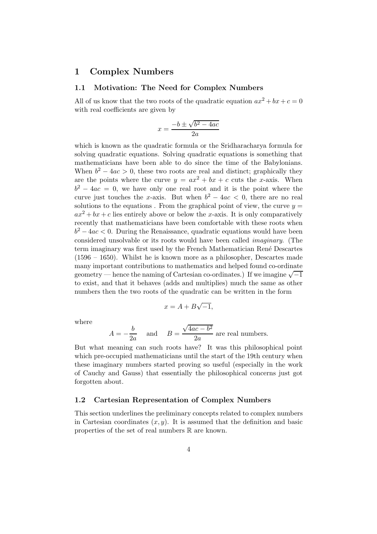## <span id="page-3-1"></span><span id="page-3-0"></span>1 Complex Numbers

## 1.1 Motivation: The Need for Complex Numbers

All of us know that the two roots of the quadratic equation  $ax^2 + bx + c = 0$ with real coefficients are given by

$$
x = \frac{-b \pm \sqrt{b^2 - 4ac}}{2a}
$$

which is known as the quadratic formula or the Sridharacharya formula for solving quadratic equations. Solving quadratic equations is something that mathematicians have been able to do since the time of the Babylonians. When  $b^2 - 4ac > 0$ , these two roots are real and distinct; graphically they are the points where the curve  $y = ax^2 + bx + c$  cuts the x-axis. When  $b^2 - 4ac = 0$ , we have only one real root and it is the point where the curve just touches the x-axis. But when  $b^2 - 4ac < 0$ , there are no real solutions to the equations. From the graphical point of view, the curve  $y =$  $ax^{2} + bx + c$  lies entirely above or below the x-axis. It is only comparatively recently that mathematicians have been comfortable with these roots when  $b^2 - 4ac < 0$ . During the Renaissance, quadratic equations would have been considered unsolvable or its roots would have been called imaginary. (The term imaginary was first used by the French Mathematician Ren´e Descartes (1596 – 1650). Whilst he is known more as a philosopher, Descartes made many important contributions to mathematics and helped found co-ordinate geometry — hence the naming of Cartesian co-ordinates.) If we imagine  $\sqrt{-1}$ to exist, and that it behaves (adds and multiplies) much the same as other numbers then the two roots of the quadratic can be written in the form

$$
x = A + B\sqrt{-1},
$$

where

$$
A = -\frac{b}{2a}
$$
 and  $B = \frac{\sqrt{4ac - b^2}}{2a}$  are real numbers.

But what meaning can such roots have? It was this philosophical point which pre-occupied mathematicians until the start of the 19th century when these imaginary numbers started proving so useful (especially in the work of Cauchy and Gauss) that essentially the philosophical concerns just got forgotten about.

#### <span id="page-3-2"></span>1.2 Cartesian Representation of Complex Numbers

This section underlines the preliminary concepts related to complex numbers in Cartesian coordinates  $(x, y)$ . It is assumed that the definition and basic properties of the set of real numbers  $\mathbb R$  are known.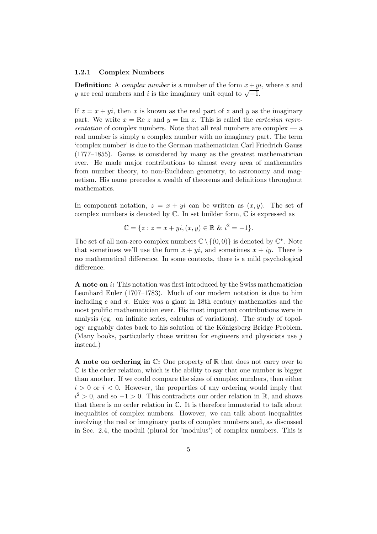#### <span id="page-4-0"></span>1.2.1 Complex Numbers

**Definition:** A *complex number* is a number of the form  $x + yi$ , where x and y are real numbers and i is the imaginary unit equal to  $\sqrt{-1}$ .

If  $z = x + yi$ , then x is known as the real part of z and y as the imaginary part. We write  $x = \text{Re } z$  and  $y = \text{Im } z$ . This is called the *cartesian repre*sentation of complex numbers. Note that all real numbers are complex  $-$  a real number is simply a complex number with no imaginary part. The term 'complex number' is due to the German mathematician Carl Friedrich Gauss (1777–1855). Gauss is considered by many as the greatest mathematician ever. He made major contributions to almost every area of mathematics from number theory, to non-Euclidean geometry, to astronomy and magnetism. His name precedes a wealth of theorems and definitions throughout mathematics.

In component notation,  $z = x + yi$  can be written as  $(x, y)$ . The set of complex numbers is denoted by  $\mathbb C$ . In set builder form,  $\mathbb C$  is expressed as

$$
\mathbb{C} = \{ z : z = x + yi, (x, y) \in \mathbb{R} \& i^2 = -1 \}.
$$

The set of all non-zero complex numbers  $\mathbb{C} \setminus \{(0,0)\}$  is denoted by  $\mathbb{C}^*$ . Note that sometimes we'll use the form  $x + yi$ , and sometimes  $x + iy$ . There is no mathematical difference. In some contexts, there is a mild psychological difference.

A note on i: This notation was first introduced by the Swiss mathematician Leonhard Euler (1707–1783). Much of our modern notation is due to him including e and  $\pi$ . Euler was a giant in 18th century mathematics and the most prolific mathematician ever. His most important contributions were in analysis (eg. on infinite series, calculus of variations). The study of topology arguably dates back to his solution of the Königsberg Bridge Problem. (Many books, particularly those written for engineers and physicists use  $j$ instead.)

**A** note on ordering in  $\mathbb{C}$ : One property of  $\mathbb{R}$  that does not carry over to  $\mathbb C$  is the order relation, which is the ability to say that one number is bigger than another. If we could compare the sizes of complex numbers, then either  $i > 0$  or  $i < 0$ . However, the properties of any ordering would imply that  $i^2 > 0$ , and so  $-1 > 0$ . This contradicts our order relation in  $\mathbb{R}$ , and shows that there is no order relation in C. It is therefore immaterial to talk about inequalities of complex numbers. However, we can talk about inequalities involving the real or imaginary parts of complex numbers and, as discussed in Sec. 2.4, the moduli (plural for 'modulus') of complex numbers. This is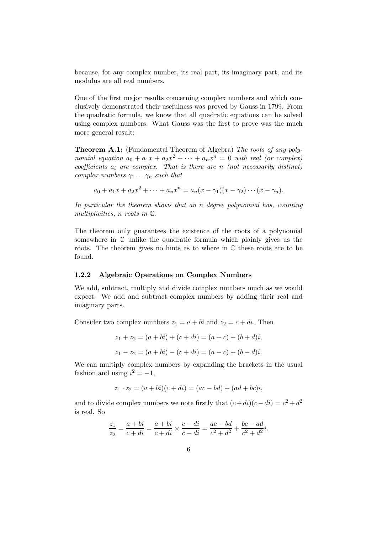because, for any complex number, its real part, its imaginary part, and its modulus are all real numbers.

One of the first major results concerning complex numbers and which conclusively demonstrated their usefulness was proved by Gauss in 1799. From the quadratic formula, we know that all quadratic equations can be solved using complex numbers. What Gauss was the first to prove was the much more general result:

Theorem A.1: (Fundamental Theorem of Algebra) The roots of any polynomial equation  $a_0 + a_1x + a_2x^2 + \cdots + a_nx^n = 0$  with real (or complex) coefficients  $a_i$  are complex. That is there are n (not necessarily distinct) complex numbers  $\gamma_1 \ldots \gamma_n$  such that

$$
a_0 + a_1x + a_2x^2 + \dots + a_nx^n = a_n(x - \gamma_1)(x - \gamma_2)\cdots(x - \gamma_n).
$$

In particular the theorem shows that an n degree polynomial has, counting multiplicities, n roots in C.

The theorem only guarantees the existence of the roots of a polynomial somewhere in  $\mathbb C$  unlike the quadratic formula which plainly gives us the roots. The theorem gives no hints as to where in  $\mathbb C$  these roots are to be found.

#### <span id="page-5-0"></span>1.2.2 Algebraic Operations on Complex Numbers

We add, subtract, multiply and divide complex numbers much as we would expect. We add and subtract complex numbers by adding their real and imaginary parts.

Consider two complex numbers  $z_1 = a + bi$  and  $z_2 = c + di$ . Then

$$
z_1 + z_2 = (a + bi) + (c + di) = (a + c) + (b + d)i,
$$
  

$$
z_1 - z_2 = (a + bi) - (c + di) = (a - c) + (b - d)i.
$$

We can multiply complex numbers by expanding the brackets in the usual fashion and using  $i^2 = -1$ ,

$$
z_1 \cdot z_2 = (a + bi)(c + di) = (ac - bd) + (ad + bc)i,
$$

and to divide complex numbers we note firstly that  $(c+di)(c-di) = c^2 + d^2$ is real. So

$$
\frac{z_1}{z_2} = \frac{a+bi}{c+di} = \frac{a+bi}{c+di} \times \frac{c-di}{c-di} = \frac{ac+bd}{c^2+d^2} + \frac{bc-ad}{c^2+d^2}i.
$$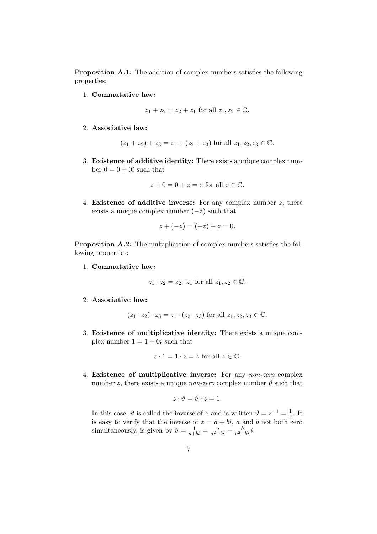Proposition A.1: The addition of complex numbers satisfies the following properties:

1. Commutative law:

$$
z_1 + z_2 = z_2 + z_1
$$
 for all  $z_1, z_2 \in \mathbb{C}$ .

2. Associative law:

$$
(z_1 + z_2) + z_3 = z_1 + (z_2 + z_3)
$$
 for all  $z_1, z_2, z_3 \in \mathbb{C}$ .

3. Existence of additive identity: There exists a unique complex number  $0 = 0 + 0i$  such that

$$
z + 0 = 0 + z = z
$$
 for all  $z \in \mathbb{C}$ .

4. Existence of additive inverse: For any complex number  $z$ , there exists a unique complex number  $(-z)$  such that

$$
z + (-z) = (-z) + z = 0.
$$

Proposition A.2: The multiplication of complex numbers satisfies the following properties:

1. Commutative law:

$$
z_1 \cdot z_2 = z_2 \cdot z_1 \text{ for all } z_1, z_2 \in \mathbb{C}.
$$

2. Associative law:

$$
(z_1 \cdot z_2) \cdot z_3 = z_1 \cdot (z_2 \cdot z_3)
$$
 for all  $z_1, z_2, z_3 \in \mathbb{C}$ .

3. Existence of multiplicative identity: There exists a unique complex number  $1 = 1 + 0i$  such that

$$
z \cdot 1 = 1 \cdot z = z \text{ for all } z \in \mathbb{C}.
$$

4. Existence of multiplicative inverse: For any non-zero complex number z, there exists a unique *non-zero* complex number  $\vartheta$  such that

$$
z\cdot\vartheta=\vartheta\cdot z=1.
$$

In this case,  $\vartheta$  is called the inverse of z and is written  $\vartheta = z^{-1} = \frac{1}{z}$ . It is easy to verify that the inverse of  $z = a + bi$ , a and b not both zero simultaneously, is given by  $\vartheta = \frac{1}{a+bi} = \frac{a}{a^2+b^2} - \frac{b}{a^2+b^2}i$ .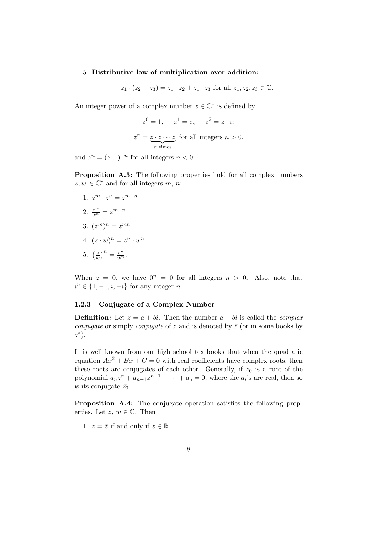#### 5. Distributive law of multiplication over addition:

$$
z_1 \cdot (z_2 + z_3) = z_1 \cdot z_2 + z_1 \cdot z_3
$$
 for all  $z_1, z_2, z_3 \in \mathbb{C}$ .

An integer power of a complex number  $z\in\mathbb{C}^*$  is defined by

$$
z^{0} = 1, \quad z^{1} = z, \quad z^{2} = z \cdot z;
$$
  

$$
z^{n} = \underbrace{z \cdot z \cdots z}_{n \text{ times}} \text{ for all integers } n > 0.
$$

and  $z^n = (z^{-1})^{-n}$  for all integers  $n < 0$ .

Proposition A.3: The following properties hold for all complex numbers  $z, w, \in \mathbb{C}^*$  and for all integers  $m, n$ :

1.  $z^m \cdot z^n = z^{m+n}$ 2.  $\frac{z^m}{z^n} = z^{m-n}$ 3.  $(z^m)^n = z^{mn}$ 4.  $(z \cdot w)^n = z^n \cdot w^n$ 

5. 
$$
\left(\frac{z}{w}\right)^n = \frac{z^n}{w^n}.
$$

When  $z = 0$ , we have  $0^n = 0$  for all integers  $n > 0$ . Also, note that  $i^n \in \{1, -1, i, -i\}$  for any integer *n*.

#### <span id="page-7-0"></span>1.2.3 Conjugate of a Complex Number

**Definition:** Let  $z = a + bi$ . Then the number  $a - bi$  is called the *complex conjugate* or simply *conjugate* of z and is denoted by  $\bar{z}$  (or in some books by  $z^*$ ).

It is well known from our high school textbooks that when the quadratic equation  $Ax^2 + Bx + C = 0$  with real coefficients have complex roots, then these roots are conjugates of each other. Generally, if  $z_0$  is a root of the polynomial  $a_n z^n + a_{n-1} z^{n-1} + \cdots + a_o = 0$ , where the  $a_i$ 's are real, then so is its conjugate  $\bar{z_0}$ .

Proposition A.4: The conjugate operation satisfies the following properties. Let  $z, w \in \mathbb{C}$ . Then

1.  $z = \overline{z}$  if and only if  $z \in \mathbb{R}$ .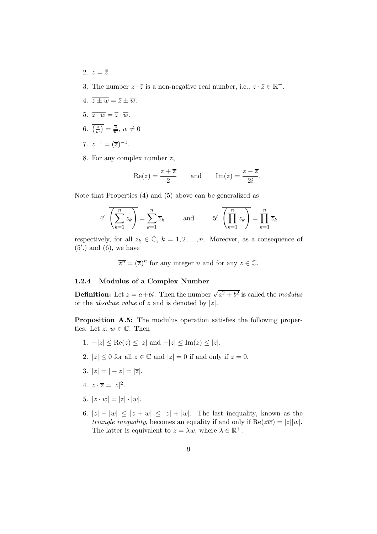- 2.  $z = \overline{\overline{z}}$ .
- 3. The number  $z \cdot \bar{z}$  is a non-negative real number, i.e.,  $z \cdot \bar{z} \in \mathbb{R}^+$ .
- 4.  $\overline{z \pm w} = \overline{z} \pm \overline{w}$ .
- 5.  $\overline{z \cdot w} = \overline{z} \cdot \overline{w}$ .
- 6.  $\left(\frac{z}{u}\right)$  $\frac{z}{w}$  $\big) = \frac{\overline{z}}{\overline{w}}, w \neq 0$
- 7.  $\overline{z^{-1}} = (\overline{z})^{-1}$ .
- 8. For any complex number z,

$$
\operatorname{Re}(z) = \frac{z + \overline{z}}{2} \quad \text{and} \quad \operatorname{Im}(z) = \frac{z - \overline{z}}{2i}.
$$

Note that Properties (4) and (5) above can be generalized as

$$
4'.\overline{\left(\sum_{k=1}^{n} z_k\right)} = \sum_{k=1}^{n} \overline{z}_k \quad \text{and} \quad 5'.\overline{\left(\prod_{k=1}^{n} z_k\right)} = \prod_{k=1}^{n} \overline{z}_k
$$

respectively, for all  $z_k \in \mathbb{C}$ ,  $k = 1, 2, \ldots, n$ . Moreover, as a consequence of (5′ .) and (6), we have

 $\overline{z^n} = (\overline{z})^n$  for any integer *n* and for any  $z \in \mathbb{C}$ .

## <span id="page-8-0"></span>1.2.4 Modulus of a Complex Number

**Definition:** Let  $z = a + bi$ . Then the number  $\sqrt{a^2 + b^2}$  is called the *modulus* or the *absolute value* of z and is denoted by  $|z|$ .

Proposition A.5: The modulus operation satisfies the following properties. Let  $z, w \in \mathbb{C}$ . Then

- 1.  $-|z| \leq \text{Re}(z) \leq |z|$  and  $-|z| \leq \text{Im}(z) \leq |z|$ .
- 2.  $|z| \leq 0$  for all  $z \in \mathbb{C}$  and  $|z| = 0$  if and only if  $z = 0$ .
- 3.  $|z| = |-z| = |\overline{z}|.$
- 4.  $z \cdot \overline{z} = |z|^2$ .
- 5.  $|z \cdot w| = |z| \cdot |w|$ .
- 6.  $|z| |w| \leq |z + w| \leq |z| + |w|$ . The last inequality, known as the *triangle inequality*, becomes an equality if and only if  $Re(z\overline{w}) = |z||w|$ . The latter is equivalent to  $z = \lambda w$ , where  $\lambda \in \mathbb{R}^+$ .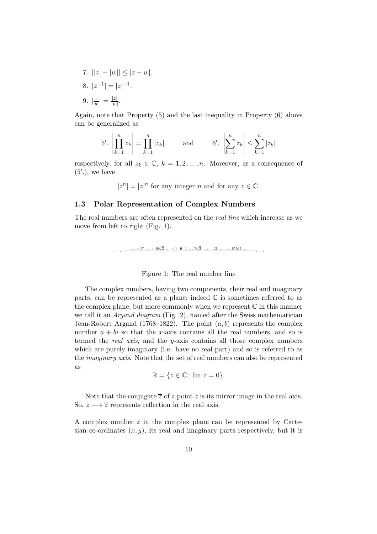7.  $||z| - |w|| \leq |z - w|$ . 8.  $|z^{-1}| = |z|^{-1}$ . 9.  $\frac{z}{u}$  $\frac{z}{w}|=\frac{|z|}{|w|}$  $\frac{|z|}{|w|}$ .

Again, note that Property (5) and the last inequality in Property (6) above can be generalized as

$$
5'.\left|\prod_{k=1}^{n} z_k\right| = \prod_{k=1}^{n} |z_k| \quad \text{and} \quad 6'.\left|\sum_{k=1}^{n} z_k\right| \le \sum_{k=1}^{n} |z_k|
$$

respectively, for all  $z_k \in \mathbb{C}$ ,  $k = 1, 2, \ldots, n$ . Moreover, as a consequence of  $(5'.),$  we have

$$
|z^n|=|z|^n \text{ for any integer } n \text{ and for any } z\in \mathbb{C}.
$$

## <span id="page-9-0"></span>1.3 Polar Representation of Complex Numbers

The real numbers are often represented on the real line which increase as we move from left to right (Fig. 1).

 $\ldots$   $-27 \ldots -10\sqrt{2} \ldots -1.0 \ldots 1 \ldots 7\sqrt{3} \ldots 27 \ldots \ldots 65537 \ldots$ 

#### Figure 1: The real number line

The complex numbers, having two components, their real and imaginary parts, can be represented as a plane; indeed  $\mathbb C$  is sometimes referred to as the complex plane, but more commonly when we represent  $\mathbb C$  in this manner we call it an Argand diagram (Fig. 2), named after the Swiss mathematician Jean-Robert Argand (1768–1822). The point  $(a, b)$  represents the complex number  $a + bi$  so that the x-axis contains all the real numbers, and so is termed the real axis, and the y-axis contains all those complex numbers which are purely imaginary (i.e. have no real part) and so is referred to as the imaginary axis. Note that the set of real numbers can also be represented as

$$
\mathbb{R} = \{ z \in \mathbb{C} : \text{Im } z = 0 \}.
$$

Note that the conjugate  $\overline{z}$  of a point z is its mirror image in the real axis. So,  $z \mapsto \overline{z}$  represents reflection in the real axis.

A complex number z in the complex plane can be represented by Cartesian co-ordinates  $(x, y)$ , its real and imaginary parts respectively, but it is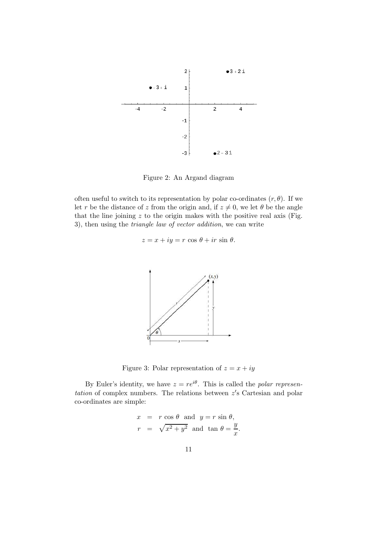

Figure 2: An Argand diagram

often useful to switch to its representation by polar co-ordinates  $(r, \theta)$ . If we let r be the distance of z from the origin and, if  $z \neq 0$ , we let  $\theta$  be the angle that the line joining  $z$  to the origin makes with the positive real axis (Fig. 3), then using the triangle law of vector addition, we can write

$$
z = x + iy = r \cos \theta + ir \sin \theta.
$$



Figure 3: Polar representation of  $z = x + iy$ 

By Euler's identity, we have  $z = re^{i\theta}$ . This is called the *polar represen*tation of complex numbers. The relations between  $z'$ s Cartesian and polar co-ordinates are simple:

$$
x = r \cos \theta \text{ and } y = r \sin \theta,
$$
  

$$
r = \sqrt{x^2 + y^2} \text{ and } \tan \theta = \frac{y}{x}.
$$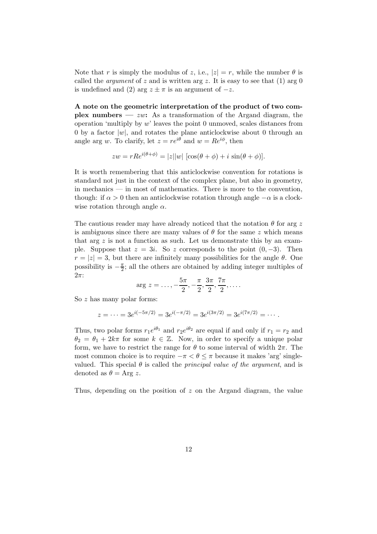Note that r is simply the modulus of z, i.e.,  $|z| = r$ , while the number  $\theta$  is called the *argument* of z and is written arg z. It is easy to see that (1) arg 0 is undefined and (2) arg  $z \pm \pi$  is an argument of  $-z$ .

A note on the geometric interpretation of the product of two complex numbers —  $zw$ : As a transformation of the Argand diagram, the operation 'multiply by  $w$ ' leaves the point 0 unmoved, scales distances from 0 by a factor  $|w|$ , and rotates the plane anticlockwise about 0 through an angle arg w. To clarify, let  $z = re^{i\theta}$  and  $w = Re^{i\phi}$ , then

$$
zw = rRe^{i(\theta + \phi)} = |z||w| [\cos(\theta + \phi) + i \sin(\theta + \phi)].
$$

It is worth remembering that this anticlockwise convention for rotations is standard not just in the context of the complex plane, but also in geometry, in mechanics — in most of mathematics. There is more to the convention, though: if  $\alpha > 0$  then an anticlockwise rotation through angle  $-\alpha$  is a clockwise rotation through angle  $\alpha$ .

The cautious reader may have already noticed that the notation  $\theta$  for arg z is ambiguous since there are many values of  $\theta$  for the same z which means that arg  $z$  is not a function as such. Let us demonstrate this by an example. Suppose that  $z = 3i$ . So z corresponds to the point  $(0, -3)$ . Then  $r = |z| = 3$ , but there are infinitely many possibilities for the angle  $\theta$ . One possibility is  $-\frac{\pi}{2}$ ; all the others are obtained by adding integer multiples of  $2\pi$ :

$$
\arg z = \dots, -\frac{5\pi}{2}, -\frac{\pi}{2}, \frac{3\pi}{2}, \frac{7\pi}{2}, \dots
$$

So z has many polar forms:

$$
z = \dots = 3e^{i(-5\pi/2)} = 3e^{i(-\pi/2)} = 3e^{i(3\pi/2)} = 3e^{i(7\pi/2)} = \dots
$$

Thus, two polar forms  $r_1e^{i\theta_1}$  and  $r_2e^{i\theta_2}$  are equal if and only if  $r_1 = r_2$  and  $\theta_2 = \theta_1 + 2k\pi$  for some  $k \in \mathbb{Z}$ . Now, in order to specify a unique polar form, we have to restrict the range for  $\theta$  to some interval of width  $2\pi$ . The most common choice is to require  $-\pi < \theta \leq \pi$  because it makes 'arg' singlevalued. This special  $\theta$  is called the *principal value of the argument*, and is denoted as  $\theta = \text{Arg } z$ .

Thus, depending on the position of z on the Argand diagram, the value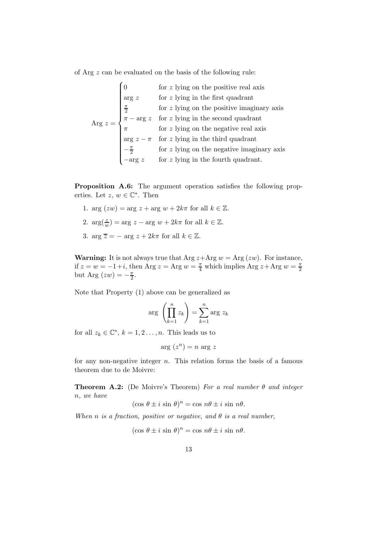of Arg z can be evaluated on the basis of the following rule:

 $\lambda$ 

$$
\text{Arg } z = \begin{cases}\n0 & \text{for } z \text{ lying on the positive real axis} \\
\text{arg } z & \text{for } z \text{ lying in the first quadrant} \\
\frac{\pi}{2} & \text{for } z \text{ lying on the positive imaginary axis} \\
\pi - \text{arg } z & \text{for } z \text{ lying in the second quadrant} \\
\pi & \text{for } z \text{ lying on the negative real axis} \\
\text{arg } z - \pi & \text{for } z \text{ lying in the third quadrant} \\
-\frac{\pi}{2} & \text{for } z \text{ lying on the negative imaginary axis} \\
-\text{arg } z & \text{for } z \text{ lying in the fourth quadrant.}\n\end{cases}
$$

Proposition A.6: The argument operation satisfies the following properties. Let  $z, w \in \mathbb{C}^*$ . Then

- 1. arg  $(zw) = \arg z + \arg w + 2k\pi$  for all  $k \in \mathbb{Z}$ .
- 2.  $\arg(\frac{z}{w}) = \arg z \arg w + 2k\pi$  for all  $k \in \mathbb{Z}$ .
- 3. arg  $\overline{z} = \arg z + 2k\pi$  for all  $k \in \mathbb{Z}$ .

**Warning:** It is not always true that Arg  $z + \text{Arg } w = \text{Arg}(zw)$ . For instance, if  $z = w = -1 + i$ , then Arg  $z = \text{Arg } w = \frac{\pi}{4}$  which implies Arg  $z + \text{Arg } w = \frac{\pi}{2}$ 2 but Arg  $(zw) = -\frac{\pi}{2}$  $\frac{\pi}{2}$ .

Note that Property (1) above can be generalized as

$$
\arg\left(\prod_{k=1}^n z_k\right) = \sum_{k=1}^n \arg z_k
$$

for all  $z_k \in \mathbb{C}^*, k = 1, 2, \ldots, n$ . This leads us to

$$
arg(z^n) = n arg z
$$

for any non-negative integer  $n$ . This relation forms the basis of a famous theorem due to de Moivre:

**Theorem A.2:** (De Moivre's Theorem) For a real number  $\theta$  and integer n, we have

$$
(\cos \theta \pm i \sin \theta)^n = \cos n\theta \pm i \sin n\theta.
$$

When n is a fraction, positive or negative, and  $\theta$  is a real number,

$$
(\cos \theta \pm i \sin \theta)^n = \cos n\theta \pm i \sin n\theta.
$$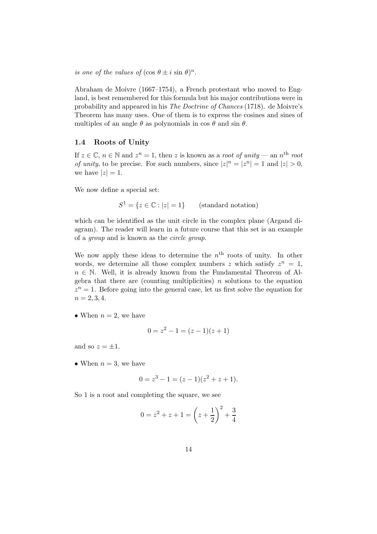is one of the values of  $(\cos \theta \pm i \sin \theta)^n$ .

Abraham de Moivre (1667–1754), a French protestant who moved to England, is best remembered for this formula but his major contributions were in probability and appeared in his The Doctrine of Chances (1718). de Moivre's Theorem has many uses. One of them is to express the cosines and sines of multiples of an angle  $\theta$  as polynomials in cos  $\theta$  and sin  $\theta$ .

#### <span id="page-13-0"></span>1.4 Roots of Unity

If  $z \in \mathbb{C}$ ,  $n \in \mathbb{N}$  and  $z^n = 1$ , then z is known as a root of unity — an  $n^{\text{th}}$  root of unity, to be precise. For such numbers, since  $|z|^n = |z^n| = 1$  and  $|z| > 0$ , we have  $|z|=1$ .

We now define a special set:

 $S^1 = \{z \in \mathbb{C} : |z| = 1\}$  (standard notation)

which can be identified as the unit circle in the complex plane (Argand diagram). The reader will learn in a future course that this set is an example of a group and is known as the circle group.

We now apply these ideas to determine the  $n<sup>th</sup>$  roots of unity. In other words, we determine all those complex numbers z which satisfy  $z^n = 1$ ,  $n \in \mathbb{N}$ . Well, it is already known from the Fundamental Theorem of Algebra that there are (counting multiplicities)  $n$  solutions to the equation  $z^n = 1$ . Before going into the general case, let us first solve the equation for  $n = 2, 3, 4.$ 

• When  $n = 2$ , we have

$$
0 = z^2 - 1 = (z - 1)(z + 1)
$$

and so  $z = \pm 1$ .

• When  $n = 3$ , we have

$$
0 = z3 - 1 = (z - 1)(z2 + z + 1).
$$

So 1 is a root and completing the square, we see

$$
0 = z2 + z + 1 = \left(z + \frac{1}{2}\right)^{2} + \frac{3}{4}
$$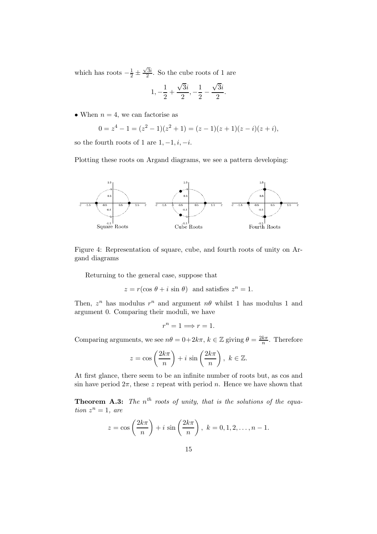which has roots  $-\frac{1}{2}$  ±  $\sqrt{3}i$  $\frac{3i}{2}$ . So the cube roots of 1 are

$$
1, -\frac{1}{2} + \frac{\sqrt{3}i}{2}, -\frac{1}{2} - \frac{\sqrt{3}i}{2}.
$$

• When  $n = 4$ , we can factorise as

$$
0 = z4 - 1 = (z2 - 1)(z2 + 1) = (z - 1)(z + 1)(z - i)(z + i),
$$

so the fourth roots of 1 are  $1, -1, i, -i$ .

Plotting these roots on Argand diagrams, we see a pattern developing:



Figure 4: Representation of square, cube, and fourth roots of unity on Argand diagrams

Returning to the general case, suppose that

 $z = r(\cos \theta + i \sin \theta)$  and satisfies  $z^n = 1$ .

Then,  $z^n$  has modulus  $r^n$  and argument  $n\theta$  whilst 1 has modulus 1 and argument 0. Comparing their moduli, we have

$$
r^n = 1 \Longrightarrow r = 1.
$$

Comparing arguments, we see  $n\theta = 0 + 2k\pi$ ,  $k \in \mathbb{Z}$  giving  $\theta = \frac{2k\pi}{n}$ . Therefore

$$
z = \cos\left(\frac{2k\pi}{n}\right) + i\sin\left(\frac{2k\pi}{n}\right), \ k \in \mathbb{Z}.
$$

At first glance, there seem to be an infinite number of roots but, as cos and sin have period  $2\pi$ , these z repeat with period n. Hence we have shown that

**Theorem A.3:** The  $n^{th}$  roots of unity, that is the solutions of the equa- $$ 

$$
z = \cos\left(\frac{2k\pi}{n}\right) + i\,\sin\left(\frac{2k\pi}{n}\right), \ k = 0, 1, 2, \dots, n - 1.
$$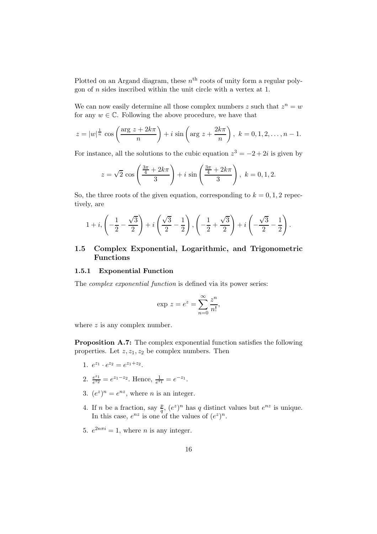Plotted on an Argand diagram, these  $n<sup>th</sup>$  roots of unity form a regular polygon of  $n$  sides inscribed within the unit circle with a vertex at 1.

We can now easily determine all those complex numbers z such that  $z^n = w$ for any  $w \in \mathbb{C}$ . Following the above procedure, we have that

$$
z = |w|^{\frac{1}{n}} \cos\left(\frac{\arg z + 2k\pi}{n}\right) + i \sin\left(\arg z + \frac{2k\pi}{n}\right), k = 0, 1, 2, \dots, n - 1.
$$

For instance, all the solutions to the cubic equation  $z^3 = -2 + 2i$  is given by

$$
z = \sqrt{2} \cos \left( \frac{\frac{3\pi}{4} + 2k\pi}{3} \right) + i \sin \left( \frac{\frac{3\pi}{4} + 2k\pi}{3} \right), k = 0, 1, 2.
$$

So, the three roots of the given equation, corresponding to  $k = 0, 1, 2$  repectively, are

$$
1+i, \left(-\frac{1}{2}-\frac{\sqrt{3}}{2}\right)+i\left(\frac{\sqrt{3}}{2}-\frac{1}{2}\right), \left(-\frac{1}{2}+\frac{\sqrt{3}}{2}\right)+i\left(-\frac{\sqrt{3}}{2}-\frac{1}{2}\right).
$$

## <span id="page-15-0"></span>1.5 Complex Exponential, Logarithmic, and Trigonometric Functions

#### <span id="page-15-1"></span>1.5.1 Exponential Function

The complex exponential function is defined via its power series:

$$
\exp z = e^z = \sum_{n=0}^{\infty} \frac{z^n}{n!},
$$

where  $z$  is any complex number.

Proposition A.7: The complex exponential function satisfies the following properties. Let  $z, z_1, z_2$  be complex numbers. Then

- 1.  $e^{z_1} \cdot e^{z_2} = e^{z_1 + z_2}$ .
- 2.  $\frac{e^{z_1}}{e^{z_2}}$  $\frac{e^{z_1}}{e^{z_2}} = e^{z_1 - z_2}$ . Hence,  $\frac{1}{e^{z_1}} = e^{-z_1}$ .
- 3.  $(e^z)^n = e^{nz}$ , where *n* is an integer.
- 4. If *n* be a fraction, say  $\frac{p}{q}$ ,  $(e^z)^n$  has *q* distinct values but  $e^{nz}$  is unique. In this case,  $e^{nz}$  is one of the values of  $(e^z)^n$ .
- 5.  $e^{2n\pi i} = 1$ , where *n* is any integer.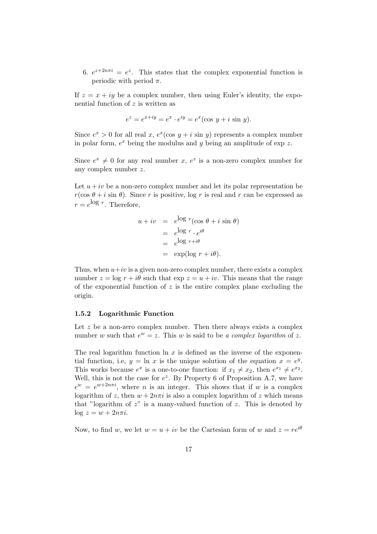6.  $e^{z+2n\pi i} = e^z$ . This states that the complex exponential function is periodic with period  $\pi$ .

If  $z = x + iy$  be a complex number, then using Euler's identity, the exponential function of z is written as

$$
e^z = e^{x+iy} = e^x \cdot e^{iy} = e^x(\cos y + i \sin y).
$$

Since  $e^x > 0$  for all real x,  $e^x(\cos y + i \sin y)$  represents a complex number in polar form,  $e^x$  being the modulus and y being an amplitude of exp z.

Since  $e^x \neq 0$  for any real number x,  $e^z$  is a non-zero complex number for any complex number z.

Let  $u + iv$  be a non-zero complex number and let its polar representation be  $r(\cos \theta + i \sin \theta)$ . Since r is positive, log r is real and r can be expressed as  $r = e^{\log r}$ . Therefore,

$$
u + iv = e^{\log r} (\cos \theta + i \sin \theta)
$$
  
=  $e^{\log r} \cdot e^{i\theta}$   
=  $e^{\log r + i\theta}$   
=  $\exp(\log r + i\theta)$ .

Thus, when  $u+iv$  is a given non-zero complex number, there exists a complex number  $z = \log r + i\theta$  such that  $\exp z = u + iv$ . This means that the range of the exponential function of  $z$  is the entire complex plane excluding the origin.

#### <span id="page-16-0"></span>1.5.2 Logarithmic Function

Let  $z$  be a non-zero complex number. Then there always exists a complex number w such that  $e^w = z$ . This w is said to be a complex logarithm of z.

The real logarithm function  $\ln x$  is defined as the inverse of the exponential function, i.e,  $y = \ln x$  is the unique solution of the equation  $x = e^y$ . This works because  $e^x$  is a one-to-one function: if  $x_1 \neq x_2$ , then  $e^{x_1} \neq e^{x_2}$ . Well, this is not the case for  $e^z$ . By Property 6 of Proposition A.7, we have  $e^w = e^{w+2n\pi i}$ , where *n* is an integer. This shows that if *w* is a complex logarithm of z, then  $w + 2n\pi i$  is also a complex logarithm of z which means that "logarithm of  $z$ " is a many-valued function of  $z$ . This is denoted by  $\log z = w + 2n\pi i$ .

Now, to find w, we let  $w = u + iv$  be the Cartesian form of w and  $z = re^{i\theta}$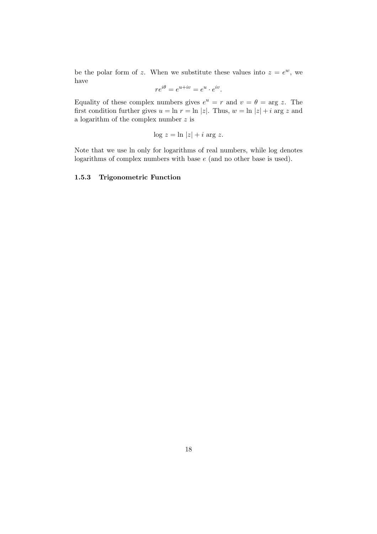be the polar form of z. When we substitute these values into  $z = e^w$ , we have

$$
re^{i\theta} = e^{u+iv} = e^u \cdot e^{iv}.
$$

Equality of these complex numbers gives  $e^u = r$  and  $v = \theta = \arg z$ . The first condition further gives  $u = \ln r = \ln |z|$ . Thus,  $w = \ln |z| + i$  arg z and a logarithm of the complex number  $\boldsymbol{z}$  is

$$
\log z = \ln |z| + i \arg z.
$$

Note that we use ln only for logarithms of real numbers, while log denotes logarithms of complex numbers with base e (and no other base is used).

#### <span id="page-17-0"></span>1.5.3 Trigonometric Function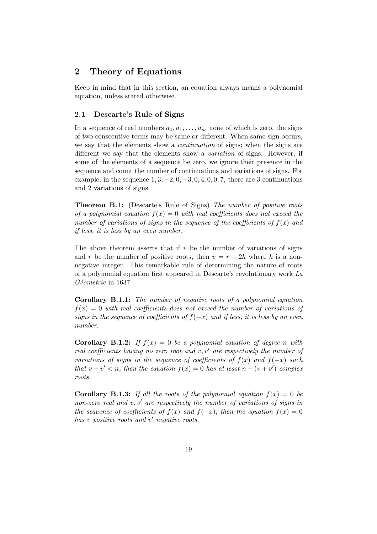## <span id="page-18-0"></span>2 Theory of Equations

Keep in mind that in this section, an equation always means a polynomial equation, unless stated otherwise.

#### <span id="page-18-1"></span>2.1 Descarte's Rule of Signs

In a sequence of real numbers  $a_0, a_1, \ldots, a_n$ , none of which is zero, the signs of two consecutive terms may be same or different. When same sign occurs, we say that the elements show a *continuation* of signs; when the signs are different we say that the elements show a variation of signs. However, if some of the elements of a sequence be zero, we ignore their presence in the sequence and count the number of continuations and variations of signs. For example, in the sequence  $1, 3, -2, 0, -3, 0, 4, 0, 0, 7$ , there are 3 continuations and 2 variations of signs.

Theorem B.1: (Descarte's Rule of Signs) The number of positive roots of a polynomial equation  $f(x) = 0$  with real coefficients does not exceed the number of variations of signs in the sequence of the coefficients of  $f(x)$  and if less, it is less by an even number.

The above theorem asserts that if  $v$  be the number of variations of signs and r be the number of positive roots, then  $v = r + 2h$  where h is a nonnegative integer. This remarkable rule of determining the nature of roots of a polynomial equation first appeared in Descarte's revolutionary work La Géometrie in 1637.

Corollary B.1.1: The number of negative roots of a polynomial equation  $f(x) = 0$  with real coefficients does not exceed the number of variations of signs in the sequence of coefficients of  $f(-x)$  and if less, it is less by an even number.

**Corollary B.1.2:** If  $f(x) = 0$  be a polynomial equation of degree n with real coefficients having no zero root and  $v, v'$  are respectively the number of variations of signs in the sequence of coefficients of  $f(x)$  and  $f(-x)$  such that  $v + v' < n$ , then the equation  $f(x) = 0$  has at least  $n - (v + v')$  complex roots.

**Corollary B.1.3:** If all the roots of the polynomial equation  $f(x) = 0$  be non-zero real and  $v, v'$  are respectively the number of variations of signs in the sequence of coefficients of  $f(x)$  and  $f(-x)$ , then the equation  $f(x) = 0$ has v positive roots and v' negative roots.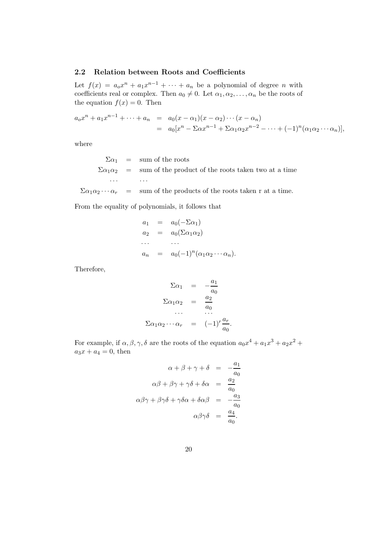#### <span id="page-19-0"></span>2.2 Relation between Roots and Coefficients

Let  $f(x) = a_0 x^n + a_1 x^{n-1} + \cdots + a_n$  be a polynomial of degree *n* with coefficients real or complex. Then  $a_0 \neq 0$ . Let  $\alpha_1, \alpha_2, \ldots, \alpha_n$  be the roots of the equation  $f(x) = 0$ . Then

$$
a_0x^n + a_1x^{n-1} + \dots + a_n = a_0(x - \alpha_1)(x - \alpha_2)\cdots(x - \alpha_n)
$$
  
= 
$$
a_0[x^n - \Sigma\alpha x^{n-1} + \Sigma\alpha_1\alpha_2x^{n-2} - \dots + (-1)^n(\alpha_1\alpha_2\cdots\alpha_n)],
$$

where

 $\Sigma \alpha_1$  = sum of the roots  $\Sigma \alpha_1 \alpha_2$  = sum of the product of the roots taken two at a time · · · · · ·  $\Sigma \alpha_1 \alpha_2 \cdots \alpha_r = \text{sum of the products of the roots taken r at a time.}$ 

From the equality of polynomials, it follows that

$$
a_1 = a_0(-\Sigma \alpha_1)
$$
  
\n
$$
a_2 = a_0(\Sigma \alpha_1 \alpha_2)
$$
  
\n...  
\n
$$
a_n = a_0(-1)^n(\alpha_1 \alpha_2 \cdots \alpha_n).
$$

Therefore,

$$
\Sigma \alpha_1 = -\frac{a_1}{a_0}
$$

$$
\Sigma \alpha_1 \alpha_2 = \frac{a_2}{a_0}
$$

$$
\dots
$$

$$
\Sigma \alpha_1 \alpha_2 \dots \alpha_r = (-1)^r \frac{a_r}{a_0}.
$$

For example, if  $\alpha, \beta, \gamma, \delta$  are the roots of the equation  $a_0x^4 + a_1x^3 + a_2x^2 +$  $a_3x + a_4 = 0$ , then

$$
\alpha + \beta + \gamma + \delta = -\frac{a_1}{a_0}
$$
  

$$
\alpha\beta + \beta\gamma + \gamma\delta + \delta\alpha = \frac{a_2}{a_0}
$$
  

$$
\alpha\beta\gamma + \beta\gamma\delta + \gamma\delta\alpha + \delta\alpha\beta = -\frac{a_3}{a_0}
$$
  

$$
\alpha\beta\gamma\delta = \frac{a_4}{a_0}.
$$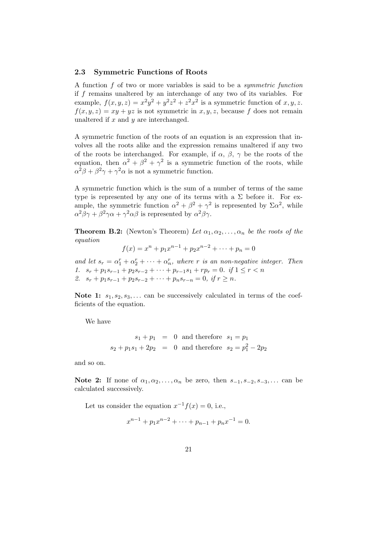#### <span id="page-20-0"></span>2.3 Symmetric Functions of Roots

A function f of two or more variables is said to be a symmetric function if f remains unaltered by an interchange of any two of its variables. For example,  $f(x, y, z) = x^2y^2 + y^2z^2 + z^2x^2$  is a symmetric function of  $x, y, z$ .  $f(x, y, z) = xy + yz$  is not symmetric in x, y, z, because f does not remain unaltered if  $x$  and  $y$  are interchanged.

A symmetric function of the roots of an equation is an expression that involves all the roots alike and the expression remains unaltered if any two of the roots be interchanged. For example, if  $\alpha$ ,  $\beta$ ,  $\gamma$  be the roots of the equation, then  $\alpha^2 + \beta^2 + \gamma^2$  is a symmetric function of the roots, while  $\alpha^2 \beta + \beta^2 \gamma + \gamma^2 \alpha$  is not a symmetric function.

A symmetric function which is the sum of a number of terms of the same type is represented by any one of its terms with a  $\Sigma$  before it. For example, the symmetric function  $\alpha^2 + \beta^2 + \gamma^2$  is represented by  $\Sigma \alpha^2$ , while  $\alpha^2 \beta \gamma + \beta^2 \gamma \alpha + \gamma^2 \alpha \beta$  is represented by  $\alpha^2 \beta \gamma$ .

**Theorem B.2:** (Newton's Theorem) Let  $\alpha_1, \alpha_2, \ldots, \alpha_n$  be the roots of the equation

$$
f(x) = xn + p1xn-1 + p2xn-2 + \dots + pn = 0
$$

and let  $s_r = \alpha_1^r + \alpha_2^r + \cdots + \alpha_n^r$ , where r is an non-negative integer. Then 1.  $s_r + p_1s_{r-1} + p_2s_{r-2} + \cdots + p_{r-1}s_1 + rp_r = 0.$  if  $1 \le r < n$ 2.  $s_r + p_1s_{r-1} + p_2s_{r-2} + \cdots + p_ns_{r-n} = 0$ , if  $r \geq n$ .

Note 1:  $s_1, s_2, s_3, \ldots$  can be successively calculated in terms of the coefficients of the equation.

We have

$$
s_1 + p_1 = 0
$$
 and therefore  $s_1 = p_1$   
\n $s_2 + p_1 s_1 + 2p_2 = 0$  and therefore  $s_2 = p_1^2 - 2p_2$ 

and so on.

Note 2: If none of  $\alpha_1, \alpha_2, \ldots, \alpha_n$  be zero, then  $s_{-1}, s_{-2}, s_{-3}, \ldots$  can be calculated successively.

Let us consider the equation  $x^{-1}f(x) = 0$ , i.e.,

$$
x^{n-1} + p_1 x^{n-2} + \dots + p_{n-1} + p_n x^{-1} = 0.
$$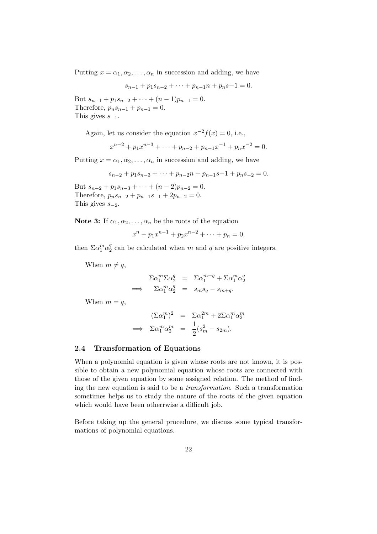Putting  $x = \alpha_1, \alpha_2, \dots, \alpha_n$  in succession and adding, we have

$$
s_{n-1} + p_1 s_{n-2} + \dots + p_{n-1} n + p_n s - 1 = 0.
$$

But  $s_{n-1} + p_1 s_{n-2} + \cdots + (n-1)p_{n-1} = 0$ . Therefore,  $p_n s_{n-1} + p_{n-1} = 0$ . This gives  $s_{-1}$ .

Again, let us consider the equation  $x^{-2}f(x) = 0$ , i.e.,

$$
x^{n-2} + p_1 x^{n-3} + \dots + p_{n-2} + p_{n-1} x^{-1} + p_n x^{-2} = 0.
$$

Putting  $x = \alpha_1, \alpha_2, \dots, \alpha_n$  in succession and adding, we have

$$
s_{n-2} + p_1 s_{n-3} + \dots + p_{n-2} n + p_{n-1} s - 1 + p_n s_{-2} = 0.
$$

But  $s_{n-2} + p_1 s_{n-3} + \cdots + (n-2)p_{n-2} = 0$ . Therefore,  $p_n s_{n-2} + p_{n-1} s_{-1} + 2p_{n-2} = 0$ . This gives  $s_{-2}$ .

Note 3: If  $\alpha_1, \alpha_2, \ldots, \alpha_n$  be the roots of the equation

 $x^{n} + p_{1}x^{n-1} + p_{2}x^{n-2} + \cdots + p_{n} = 0,$ 

then  $\Sigma \alpha_1^m \alpha_2^q$  $q<sub>2</sub>$  can be calculated when m and q are positive integers.

When  $m \neq q$ ,

$$
\sum \alpha_1^m \sum \alpha_2^q = \sum \alpha_1^{m+q} + \sum \alpha_1^m \alpha_2^q
$$
  
\n
$$
\implies \sum \alpha_1^m \alpha_2^q = s_m s_q - s_{m+q}.
$$

When  $m = q$ ,

$$
(\Sigma \alpha_1^m)^2 = \Sigma \alpha_1^{2m} + 2\Sigma \alpha_1^m \alpha_2^m
$$
  
\n
$$
\implies \Sigma \alpha_1^m \alpha_2^m = \frac{1}{2} (s_m^2 - s_{2m}).
$$

#### <span id="page-21-0"></span>2.4 Transformation of Equations

When a polynomial equation is given whose roots are not known, it is possible to obtain a new polynomial equation whose roots are connected with those of the given equation by some assigned relation. The method of finding the new equation is said to be a transformation. Such a transformation sometimes helps us to study the nature of the roots of the given equation which would have been otherrwise a difficult job.

Before taking up the general procedure, we discuss some typical transformations of polynomial equations.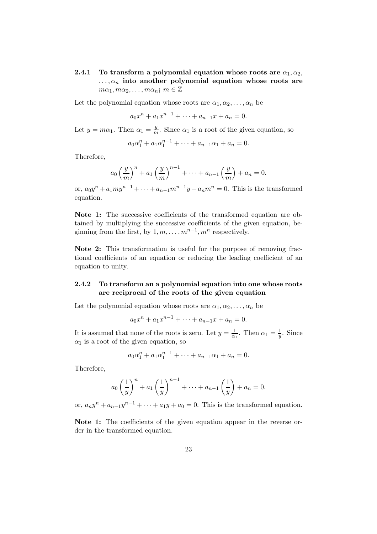<span id="page-22-0"></span>2.4.1 To transform a polynomial equation whose roots are  $\alpha_1, \alpha_2$ ,  $\ldots, \alpha_n$  into another polynomial equation whose roots are  $m\alpha_1, m\alpha_2, \ldots, m\alpha_n; m \in \mathbb{Z}$ 

Let the polynomial equation whose roots are  $\alpha_1, \alpha_2, \ldots, \alpha_n$  be

$$
a_0x^n + a_1x^{n-1} + \dots + a_{n-1}x + a_n = 0.
$$

Let  $y = m\alpha_1$ . Then  $\alpha_1 = \frac{y}{m}$ . Since  $\alpha_1$  is a root of the given equation, so

$$
a_0 \alpha_1^n + a_1 \alpha_1^{n-1} + \dots + a_{n-1} \alpha_1 + a_n = 0.
$$

Therefore,

$$
a_0 \left(\frac{y}{m}\right)^n + a_1 \left(\frac{y}{m}\right)^{n-1} + \dots + a_{n-1} \left(\frac{y}{m}\right) + a_n = 0.
$$

or,  $a_0y^n + a_1my^{n-1} + \cdots + a_{n-1}m^{n-1}y + a_nm^n = 0$ . This is the transformed equation.

Note 1: The successive coefficients of the transformed equation are obtained by multiplying the successive coefficients of the given equation, beginning from the first, by  $1, m, \ldots, m^{n-1}, m^n$  respectively.

Note 2: This transformation is useful for the purpose of removing fractional coefficients of an equation or reducing the leading coefficient of an equation to unity.

## <span id="page-22-1"></span>2.4.2 To transform an a polynomial equation into one whose roots are reciprocal of the roots of the given equation

Let the polynomial equation whose roots are  $\alpha_1, \alpha_2, \ldots, \alpha_n$  be

$$
a_0x^n + a_1x^{n-1} + \dots + a_{n-1}x + a_n = 0.
$$

It is assumed that none of the roots is zero. Let  $y = \frac{1}{\alpha}$  $\frac{1}{\alpha_1}$ . Then  $\alpha_1 = \frac{1}{y}$  $\frac{1}{y}$ . Since  $\alpha_1$  is a root of the given equation, so

$$
a_0 \alpha_1^n + a_1 \alpha_1^{n-1} + \dots + a_{n-1} \alpha_1 + a_n = 0.
$$

Therefore,

$$
a_0 \left(\frac{1}{y}\right)^n + a_1 \left(\frac{1}{y}\right)^{n-1} + \dots + a_{n-1} \left(\frac{1}{y}\right) + a_n = 0.
$$

or,  $a_n y^n + a_{n-1} y^{n-1} + \cdots + a_1 y + a_0 = 0$ . This is the transformed equation.

Note 1: The coefficients of the given equation appear in the reverse order in the transformed equation.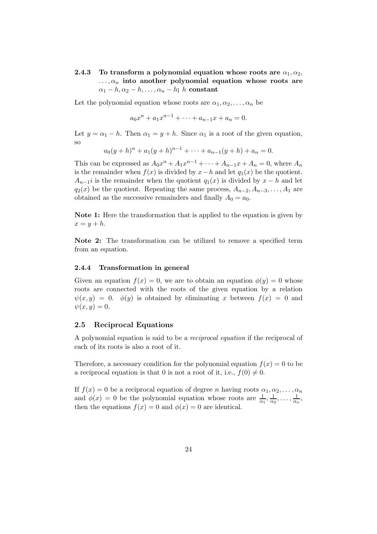## <span id="page-23-0"></span>2.4.3 To transform a polynomial equation whose roots are  $\alpha_1, \alpha_2$ ,  $\ldots, \alpha_n$  into another polynomial equation whose roots are  $\alpha_1 - h, \alpha_2 - h, \ldots, \alpha_n - h; h$  constant

Let the polynomial equation whose roots are  $\alpha_1, \alpha_2, \ldots, \alpha_n$  be

 $a_0x^n + a_1x^{n-1} + \cdots + a_{n-1}x + a_n = 0.$ 

Let  $y = \alpha_1 - h$ . Then  $\alpha_1 = y + h$ . Since  $\alpha_1$  is a root of the given equation, so

$$
a_0(y+h)^n + a_1(y+h)^{n-1} + \dots + a_{n-1}(y+h) + a_n = 0.
$$

This can be expressed as  $A_0x^n + A_1x^{n-1} + \cdots + A_{n-1}x + A_n = 0$ , where  $A_n$ is the remainder when  $f(x)$  is divided by  $x-h$  and let  $q_1(x)$  be the quotient.  $A_{n-1}$ *i* is the remainder when the quotient  $q_1(x)$  is divided by  $x - h$  and let  $q_2(x)$  be the quotient. Repeating the same process,  $A_{n-2}, A_{n-3}, \ldots, A_1$  are obtained as the successive remainders and finally  $A_0 = a_0$ .

Note 1: Here the transformation that is applied to the equation is given by  $x = y + h$ .

Note 2: The transformation can be utilized to remove a specified term from an equation.

#### <span id="page-23-1"></span>2.4.4 Transformation in general

Given an equation  $f(x) = 0$ , we are to obtain an equation  $\phi(y) = 0$  whose roots are connected with the roots of the given equation by a relation  $\psi(x, y) = 0$ .  $\phi(y)$  is obtained by eliminating x between  $f(x) = 0$  and  $\psi(x,y)=0.$ 

#### <span id="page-23-2"></span>2.5 Reciprocal Equations

A polynomial equation is said to be a reciprocal equation if the reciprocal of each of its roots is also a root of it.

Therefore, a necessary condition for the polynomial equation  $f(x) = 0$  to be a reciprocal equation is that 0 is not a root of it, i.e.,  $f(0) \neq 0$ .

If  $f(x) = 0$  be a reciprocal equation of degree n having roots  $\alpha_1, \alpha_2, \ldots, \alpha_n$ and  $\phi(x) = 0$  be the polynomial equation whose roots are  $\frac{1}{\alpha_1}$ ,  $\frac{1}{\alpha_2}$  $\frac{1}{\alpha_2}, \ldots, \frac{1}{\alpha_n}$  $\frac{1}{\alpha_n},$ then the equations  $f(x) = 0$  and  $\phi(x) = 0$  are identical.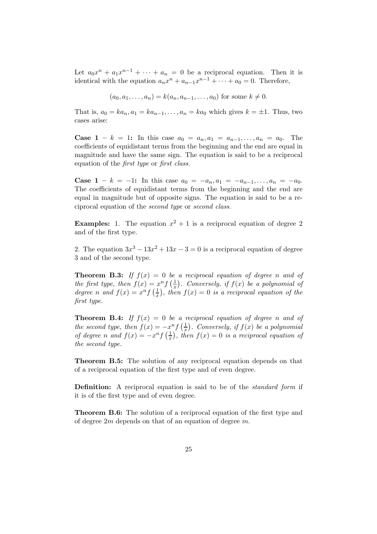Let  $a_0x^n + a_1x^{n-1} + \cdots + a_n = 0$  be a reciprocal equation. Then it is identical with the equation  $a_n x^n + a_{n-1} x^{n-1} + \cdots + a_0 = 0$ . Therefore,

$$
(a_0, a_1,..., a_n) = k(a_n, a_{n-1},..., a_0)
$$
 for some  $k \neq 0$ .

That is,  $a_0 = ka_n, a_1 = ka_{n-1}, \ldots, a_n = ka_0$  which gives  $k = \pm 1$ . Thus, two cases arise:

**Case 1** – k = 1: In this case  $a_0 = a_n, a_1 = a_{n-1}, \ldots, a_n = a_0$ . The coefficients of equidistant terms from the beginning and the end are equal in magnitude and have the same sign. The equation is said to be a reciprocal equation of the first type or first class.

**Case 1** – k = -1: In this case  $a_0 = -a_n, a_1 = -a_{n-1}, \ldots, a_n = -a_0$ . The coefficients of equidistant terms from the beginning and the end are equal in magnitude but of opposite signs. The equation is said to be a reciprocal equation of the second type or second class.

**Examples:** 1. The equation  $x^2 + 1$  is a reciprocal equation of degree 2 and of the first type.

2. The equation  $3x^3 - 13x^2 + 13x - 3 = 0$  is a reciprocal equation of degree 3 and of the second type.

**Theorem B.3:** If  $f(x) = 0$  be a reciprocal equation of degree n and of the first type, then  $f(x) = x^n f\left(\frac{1}{x}\right)$  $\frac{1}{x}$ ). Conversely, if  $f(x)$  be a polynomial of degree n and  $f(x) = x^n f\left(\frac{1}{x}\right)$  $(\frac{1}{x})$ , then  $f(x) = 0$  is a reciprocal equation of the first type.

**Theorem B.4:** If  $f(x) = 0$  be a reciprocal equation of degree n and of the second type, then  $f(x) = -x^n f\left(\frac{1}{x}\right)$  $\frac{1}{x}$ ). Conversely, if  $f(x)$  be a polynomial of degree n and  $f(x) = -x^n f\left(\frac{1}{x}\right)$  $(\frac{1}{x})$ , then  $f(x) = 0$  is a reciprocal equation of the second type.

Theorem B.5: The solution of any reciprocal equation depends on that of a reciprocal equation of the first type and of even degree.

Definition: A reciprocal equation is said to be of the *standard form* if it is of the first type and of even degree.

Theorem B.6: The solution of a reciprocal equation of the first type and of degree 2m depends on that of an equation of degree m.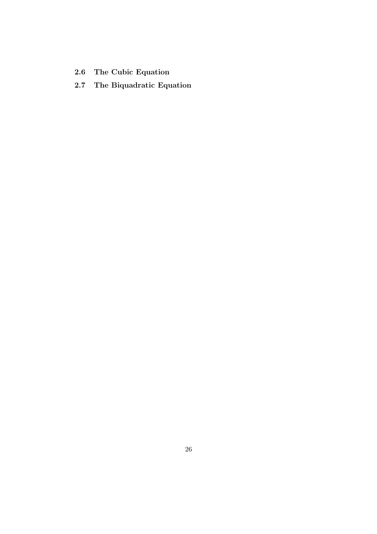- <span id="page-25-1"></span><span id="page-25-0"></span>2.6 The Cubic Equation
- 2.7 The Biquadratic Equation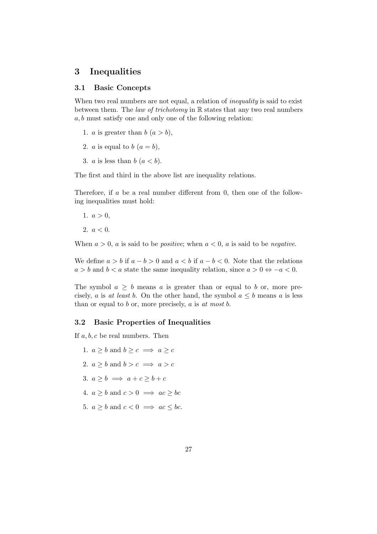## <span id="page-26-1"></span><span id="page-26-0"></span>3 Inequalities

### 3.1 Basic Concepts

When two real numbers are not equal, a relation of *inequality* is said to exist between them. The law of trichotomy in  $\mathbb R$  states that any two real numbers  $a, b$  must satisfy one and only one of the following relation:

- 1. *a* is greater than  $b(a > b)$ ,
- 2. *a* is equal to *b*  $(a = b)$ ,
- 3. *a* is less than  $b(a < b)$ .

The first and third in the above list are inequality relations.

Therefore, if a be a real number different from 0, then one of the following inequalities must hold:

1.  $a > 0$ ,

2.  $a < 0$ .

When  $a > 0$ , a is said to be *positive*; when  $a < 0$ , a is said to be *negative*.

We define  $a > b$  if  $a - b > 0$  and  $a < b$  if  $a - b < 0$ . Note that the relations  $a > b$  and  $b < a$  state the same inequality relation, since  $a > 0 \Leftrightarrow -a < 0$ .

The symbol  $a \geq b$  means a is greater than or equal to b or, more precisely, a is at least b. On the other hand, the symbol  $a \leq b$  means a is less than or equal to  $b$  or, more precisely,  $a$  is  $at$  most  $b$ .

#### <span id="page-26-2"></span>3.2 Basic Properties of Inequalities

If  $a, b, c$  be real numbers. Then

1.  $a \geq b$  and  $b \geq c \implies a \geq c$ 2.  $a \geq b$  and  $b > c \implies a > c$ 3.  $a > b \implies a + c > b + c$ 4.  $a > b$  and  $c > 0 \implies ac > bc$ 5.  $a > b$  and  $c < 0 \implies ac < bc$ .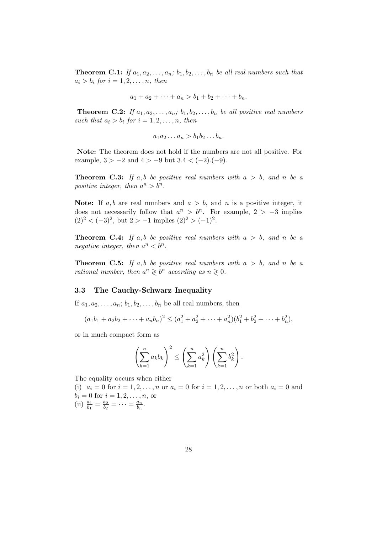**Theorem C.1:** If  $a_1, a_2, \ldots, a_n$ ;  $b_1, b_2, \ldots, b_n$  be all real numbers such that  $a_i > b_i$  for  $i = 1, 2, \ldots, n$ , then

$$
a_1 + a_2 + \cdots + a_n > b_1 + b_2 + \cdots + b_n.
$$

**Theorem C.2:** If  $a_1, a_2, \ldots, a_n$ ;  $b_1, b_2, \ldots, b_n$  be all positive real numbers such that  $a_i > b_i$  for  $i = 1, 2, ..., n$ , then

$$
a_1a_2\ldots a_n > b_1b_2\ldots b_n.
$$

Note: The theorem does not hold if the numbers are not all positive. For example,  $3 > -2$  and  $4 > -9$  but  $3.4 < (-2).(-9)$ .

**Theorem C.3:** If a,b be positive real numbers with  $a > b$ , and n be a positive integer, then  $a^n > b^n$ .

Note: If  $a, b$  are real numbers and  $a > b$ , and n is a positive integer, it does not necessarily follow that  $a^n > b^n$ . For example,  $2 > -3$  implies  $(2)^{2} < (-3)^{2}$ , but  $2 > -1$  implies  $(2)^{2} > (-1)^{2}$ .

**Theorem C.4:** If a,b be positive real numbers with  $a > b$ , and n be a negative integer, then  $a^n < b^n$ .

**Theorem C.5:** If a,b be positive real numbers with  $a > b$ , and n be a rational number, then  $a^n \geqslant b^n$  according as  $n \geqslant 0$ .

#### <span id="page-27-0"></span>3.3 The Cauchy-Schwarz Inequality

If  $a_1, a_2, \ldots, a_n; b_1, b_2, \ldots, b_n$  be all real numbers, then

$$
(a_1b_1 + a_2b_2 + \dots + a_nb_n)^2 \leq (a_1^2 + a_2^2 + \dots + a_n^2)(b_1^2 + b_2^2 + \dots + b_n^2),
$$

or in much compact form as

$$
\left(\sum_{k=1}^n a_k b_k\right)^2 \le \left(\sum_{k=1}^n a_k^2\right) \left(\sum_{k=1}^n b_k^2\right).
$$

The equality occurs when either

(i)  $a_i = 0$  for  $i = 1, 2, ..., n$  or  $a_i = 0$  for  $i = 1, 2, ..., n$  or both  $a_i = 0$  and  $b_i = 0$  for  $i = 1, 2, ..., n$ , or (ii)  $\frac{a_1}{b_1} = \frac{a_2}{b_2}$  $\frac{a_2}{b_2} = \cdots = \frac{a_n}{b_n}$  $\frac{a_n}{b_n}$ .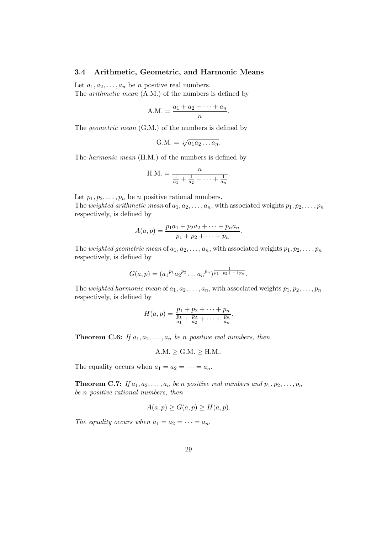#### <span id="page-28-0"></span>3.4 Arithmetic, Geometric, and Harmonic Means

Let  $a_1, a_2, \ldots, a_n$  be *n* positive real numbers. The arithmetic mean (A.M.) of the numbers is defined by

$$
A.M. = \frac{a_1 + a_2 + \dots + a_n}{n}
$$

.

The geometric mean (G.M.) of the numbers is defined by

$$
G.M. = \sqrt[n]{a_1 a_2 \dots a_n}.
$$

The harmonic mean (H.M.) of the numbers is defined by

H.M. = 
$$
\frac{n}{\frac{1}{a_1} + \frac{1}{a_2} + \cdots + \frac{1}{a_n}}.
$$

Let  $p_1, p_2, \ldots, p_n$  be n positive rational numbers.

The weighted arithmetic mean of  $a_1, a_2, \ldots, a_n$ , with associated weights  $p_1, p_2, \ldots, p_n$ respectively, is defined by

$$
A(a,p) = \frac{p_1a_1 + p_2a_2 + \dots + p_na_n}{p_1 + p_2 + \dots + p_n}.
$$

The weighted geometric mean of  $a_1, a_2, \ldots, a_n$ , with associated weights  $p_1, p_2, \ldots, p_n$ respectively, is defined by

$$
G(a,p) = (a_1^{p_1} a_2^{p_2} \dots a_n^{p_n})^{\frac{1}{p_1+p_2+\dots+p_n}}.
$$

The weighted harmonic mean of  $a_1, a_2, \ldots, a_n$ , with associated weights  $p_1, p_2, \ldots, p_n$ respectively, is defined by

$$
H(a,p) = \frac{p_1 + p_2 + \dots + p_n}{\frac{p_1}{a_1} + \frac{p_2}{a_2} + \dots + \frac{p_n}{a_n}}.
$$

**Theorem C.6:** If  $a_1, a_2, \ldots, a_n$  be n positive real numbers, then

$$
A.M. \geq G.M. \geq H.M.
$$

The equality occurs when  $a_1 = a_2 = \cdots = a_n$ .

**Theorem C.7:** If  $a_1, a_2, \ldots, a_n$  be n positive real numbers and  $p_1, p_2, \ldots, p_n$ be n positive rational numbers, then

$$
A(a,p) \ge G(a,p) \ge H(a,p).
$$

The equality occurs when  $a_1 = a_2 = \cdots = a_n$ .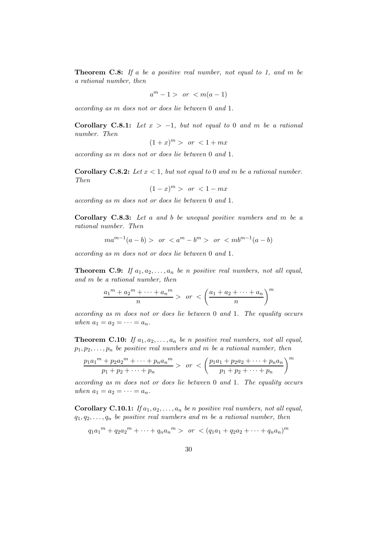**Theorem C.8:** If a be a positive real number, not equal to 1, and m be a rational number, then

$$
a^m - 1 > \text{ or } < m(a-1)
$$

according as m does not or does lie between 0 and 1.

Corollary C.8.1: Let  $x > -1$ , but not equal to 0 and m be a rational number. Then

$$
(1+x)^m > or < 1+mx
$$

according as m does not or does lie between 0 and 1.

**Corollary C.8.2:** Let  $x < 1$ , but not equal to 0 and m be a rational number. Then

$$
(1-x)^m > \text{ or } < 1 - mx
$$

according as m does not or does lie between 0 and 1.

Corollary C.8.3: Let a and b be unequal positive numbers and m be a rational number. Then

$$
ma^{m-1}(a-b) > or < a^m - b^m > or < mb^{m-1}(a-b)
$$

according as m does not or does lie between 0 and 1.

**Theorem C.9:** If  $a_1, a_2, \ldots, a_n$  be n positive real numbers, not all equal, and m be a rational number, then

$$
\frac{a_1^m + a_2^m + \dots + a_n^m}{n} > \text{ or } < \left(\frac{a_1 + a_2 + \dots + a_n}{n}\right)^m
$$

according as m does not or does lie between 0 and 1. The equality occurs when  $a_1 = a_2 = \cdots = a_n$ .

**Theorem C.10:** If  $a_1, a_2, \ldots, a_n$  be n positive real numbers, not all equal,  $p_1, p_2, \ldots, p_n$  be positive real numbers and m be a rational number, then

$$
\frac{p_1a_1^m + p_2a_2^m + \dots + p_na_n^m}{p_1 + p_2 + \dots + p_n} > or < \left(\frac{p_1a_1 + p_2a_2 + \dots + p_na_n}{p_1 + p_2 + \dots + p_n}\right)^m
$$

according as m does not or does lie between 0 and 1. The equality occurs when  $a_1 = a_2 = \cdots = a_n$ .

Corollary C.10.1: If  $a_1, a_2, \ldots, a_n$  be n positive real numbers, not all equal,  $q_1, q_2, \ldots, q_n$  be positive real numbers and m be a rational number, then

$$
q_1a_1^m + q_2a_2^m + \dots + q_na_n^m > \text{ or } \left( q_1a_1 + q_2a_2 + \dots + q_na_n \right)^m
$$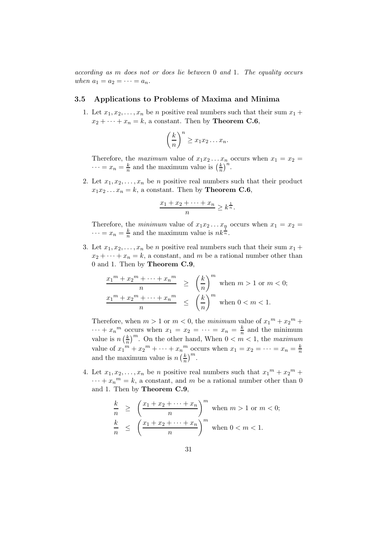according as m does not or does lie between 0 and 1. The equality occurs when  $a_1 = a_2 = \cdots = a_n$ .

#### <span id="page-30-0"></span>3.5 Applications to Problems of Maxima and Minima

1. Let  $x_1, x_2, \ldots, x_n$  be n positive real numbers such that their sum  $x_1 +$  $x_2 + \cdots + x_n = k$ , a constant. Then by **Theorem C.6**,

$$
\left(\frac{k}{n}\right)^n \ge x_1x_2\ldots x_n.
$$

Therefore, the maximum value of  $x_1x_2...x_n$  occurs when  $x_1 = x_2 =$  $\cdots = x_n = \frac{k}{n}$  $\frac{k}{n}$  and the maximum value is  $\left(\frac{k}{n}\right)$  $\frac{k}{n}$  $\int_{0}^{\infty}$ 

2. Let  $x_1, x_2, \ldots, x_n$  be *n* positive real numbers such that their product  $x_1x_2...x_n = k$ , a constant. Then by **Theorem C.6**,

$$
\frac{x_1 + x_2 + \dots + x_n}{n} \ge k^{\frac{1}{n}}.
$$

Therefore, the *minimum* value of  $x_1x_2...x_n$  occurs when  $x_1 = x_2 =$  $\cdots = x_n = \frac{k}{n}$  $\frac{k}{n}$  and the maximum value is  $nk^{\frac{1}{n}}$ .

3. Let  $x_1, x_2, \ldots, x_n$  be n positive real numbers such that their sum  $x_1 +$  $x_2 + \cdots + x_n = k$ , a constant, and m be a rational number other than 0 and 1. Then by Theorem C.9,

$$
\frac{x_1^m + x_2^m + \dots + x_n^m}{n} \ge \left(\frac{k}{n}\right)^m \text{ when } m > 1 \text{ or } m < 0;
$$
  

$$
\frac{x_1^m + x_2^m + \dots + x_n^m}{n} \le \left(\frac{k}{n}\right)^m \text{ when } 0 < m < 1.
$$

Therefore, when  $m > 1$  or  $m < 0$ , the minimum value of  $x_1^m + x_2^m +$  $\cdots + x_n^m$  occurs when  $x_1 = x_2 = \cdots = x_n = \frac{k}{n}$  and the minimum n value is  $n\left(\frac{k}{n}\right)$  $\frac{k}{n}$ <sup>m</sup>. On the other hand, When  $0 < m < 1$ , the maximum value of  $x_1^m + x_2^m + \cdots + x_n^m$  occurs when  $x_1 = x_2 = \cdots = x_n = \frac{k}{n}$ and the maximum value is  $n\left(\frac{k}{n}\right)$  $\frac{k}{n}\big)^m$ .

4. Let  $x_1, x_2, \ldots, x_n$  be *n* positive real numbers such that  $x_1^m + x_2^m +$  $\cdots + x_n^m = k$ , a constant, and m be a rational number other than 0 and 1. Then by Theorem C.9,

$$
\frac{k}{n} \ge \left(\frac{x_1 + x_2 + \dots + x_n}{n}\right)^m \text{ when } m > 1 \text{ or } m < 0;
$$
\n
$$
\frac{k}{n} \le \left(\frac{x_1 + x_2 + \dots + x_n}{n}\right)^m \text{ when } 0 < m < 1.
$$